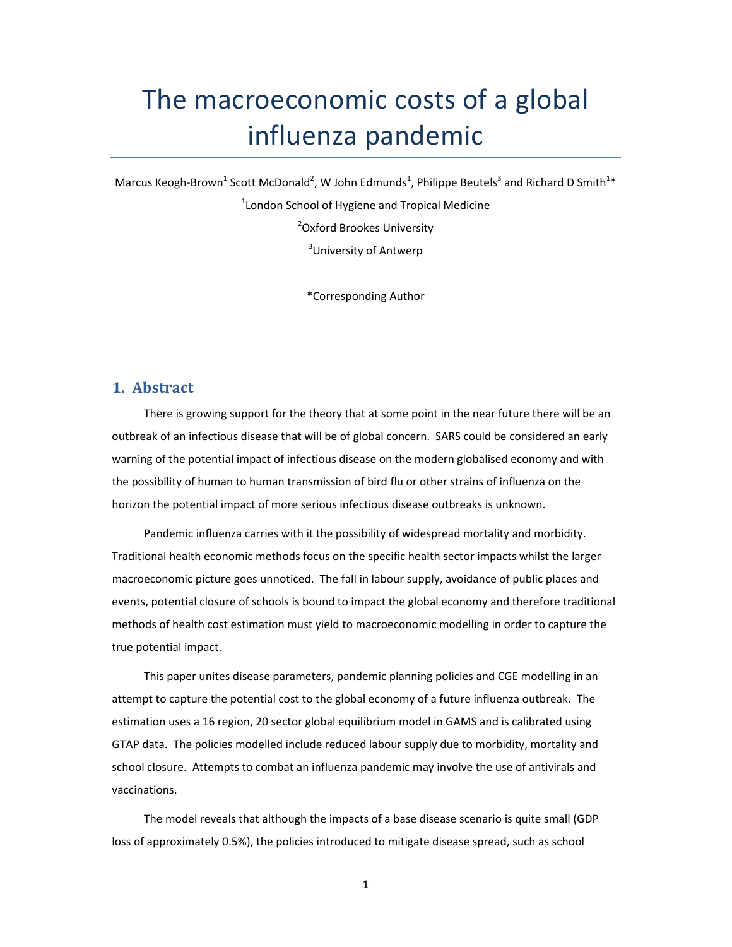# The macroeconomic costs of a global influenza pandemic

Marcus Keogh-Brown<sup>1</sup> Scott McDonald<sup>2</sup>, W John Edmunds<sup>1</sup>, Philippe Beutels<sup>3</sup> and Richard D Smith<sup>1\*</sup>

<sup>1</sup> London School of Hygiene and Tropical Medicine

2 Oxford Brookes University <sup>3</sup>University of Antwerp

\*Corresponding Author

### **1. Abstract**

There is growing support for the theory that at some point in the near future there will be an outbreak of an infectious disease that will be of global concern. SARS could be considered an early warning of the potential impact of infectious disease on the modern globalised economy and with the possibility of human to human transmission of bird flu or other strains of influenza on the horizon the potential impact of more serious infectious disease outbreaks is unknown.

Pandemic influenza carries with it the possibility of widespread mortality and morbidity. Traditional health economic methods focus on the specific health sector impacts whilst the larger macroeconomic picture goes unnoticed. The fall in labour supply, avoidance of public places and events, potential closure of schools is bound to impact the global economy and therefore traditional methods of health cost estimation must yield to macroeconomic modelling in order to capture the true potential impact.

This paper unites disease parameters, pandemic planning policies and CGE modelling in an attempt to capture the potential cost to the global economy of a future influenza outbreak. The estimation uses a 16 region, 20 sector global equilibrium model in GAMS and is calibrated using GTAP data. The policies modelled include reduced labour supply due to morbidity, mortality and school closure. Attempts to combat an influenza pandemic may involve the use of antivirals and vaccinations.

The model reveals that although the impacts of a base disease scenario is quite small (GDP loss of approximately 0.5%), the policies introduced to mitigate disease spread, such as school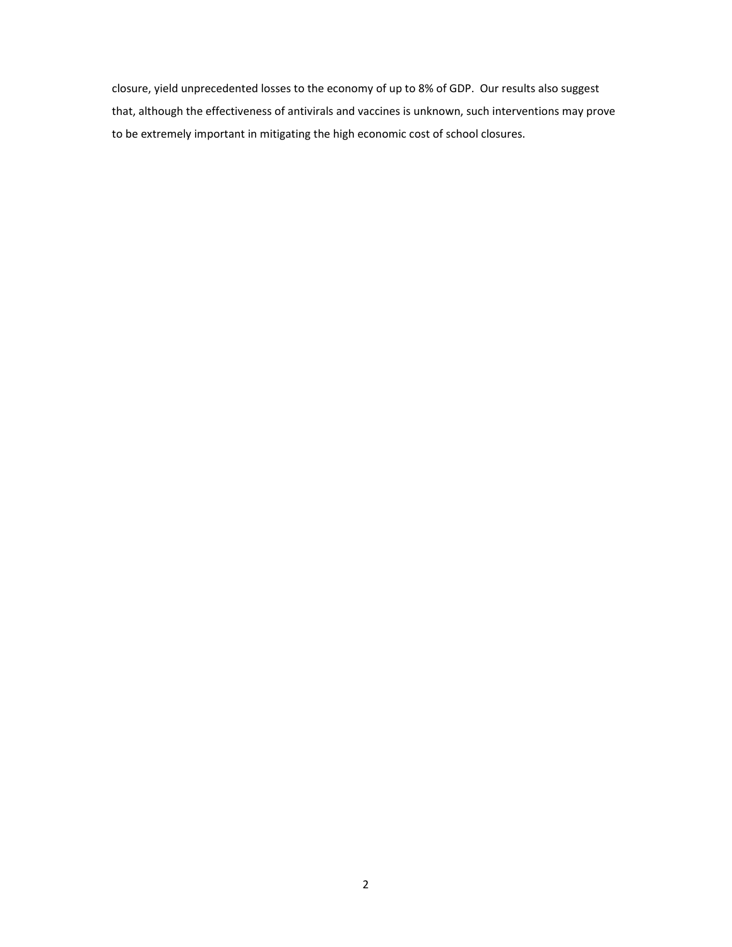closure, yield unprecedented losses to the economy of up to 8% of GDP. Our results also suggest that, although the effectiveness of antivirals and vaccines is unknown, such interventions may prove to be extremely important in mitigating the high economic cost of school closures.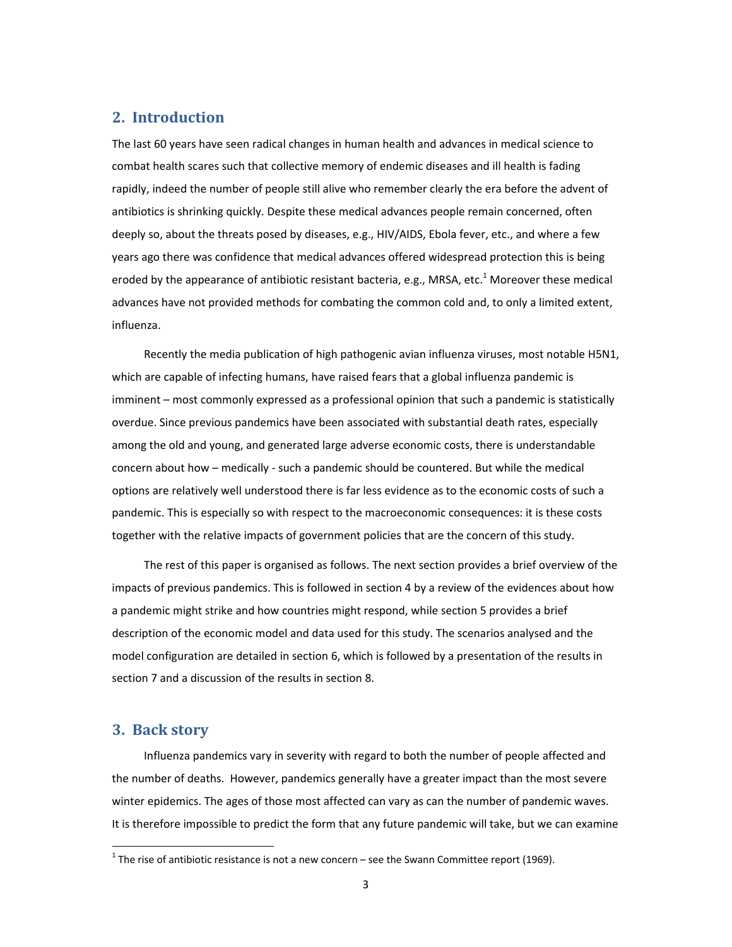### **2. Introduction**

The last 60 years have seen radical changes in human health and advances in medical science to combat health scares such that collective memory of endemic diseases and ill health is fading rapidly, indeed the number of people still alive who remember clearly the era before the advent of antibiotics is shrinking quickly. Despite these medical advances people remain concerned, often deeply so, about the threats posed by diseases, e.g., HIV/AIDS, Ebola fever, etc., and where a few years ago there was confidence that medical advances offered widespread protection this is being eroded by the appearance of antibiotic resistant bacteria, e.g., MRSA, etc.<sup>1</sup> Moreover these medical advances have not provided methods for combating the common cold and, to only a limited extent, influenza.

Recently the media publication of high pathogenic avian influenza viruses, most notable H5N1, which are capable of infecting humans, have raised fears that a global influenza pandemic is imminent – most commonly expressed as a professional opinion that such a pandemic is statistically overdue. Since previous pandemics have been associated with substantial death rates, especially among the old and young, and generated large adverse economic costs, there is understandable concern about how – medically ‐ such a pandemic should be countered. But while the medical options are relatively well understood there is far less evidence as to the economic costs of such a pandemic. This is especially so with respect to the macroeconomic consequences: it is these costs together with the relative impacts of government policies that are the concern of this study.

The rest of this paper is organised as follows. The next section provides a brief overview of the impacts of previous pandemics. This is followed in section 4 by a review of the evidences about how a pandemic might strike and how countries might respond, while section 5 provides a brief description of the economic model and data used for this study. The scenarios analysed and the model configuration are detailed in section 6, which is followed by a presentation of the results in section 7 and a discussion of the results in section 8.

### **3. Back story**

Influenza pandemics vary in severity with regard to both the number of people affected and the number of deaths. However, pandemics generally have a greater impact than the most severe winter epidemics. The ages of those most affected can vary as can the number of pandemic waves. It is therefore impossible to predict the form that any future pandemic will take, but we can examine

 $1$  The rise of antibiotic resistance is not a new concern – see the Swann Committee report (1969).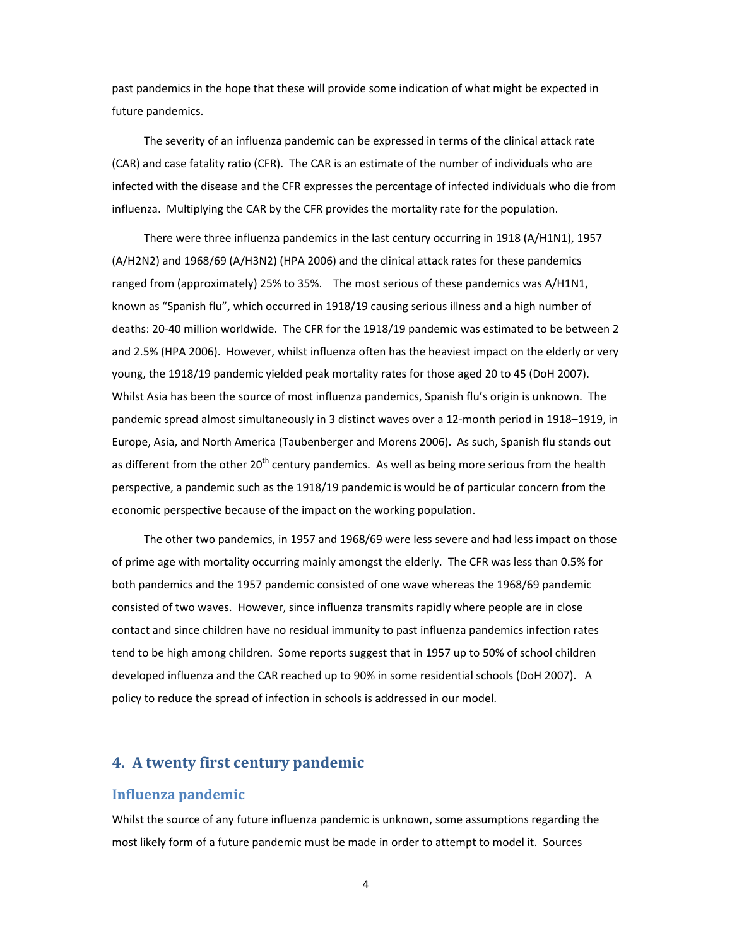past pandemics in the hope that these will provide some indication of what might be expected in future pandemics.

The severity of an influenza pandemic can be expressed in terms of the clinical attack rate (CAR) and case fatality ratio (CFR). The CAR is an estimate of the number of individuals who are infected with the disease and the CFR expresses the percentage of infected individuals who die from influenza. Multiplying the CAR by the CFR provides the mortality rate for the population.

There were three influenza pandemics in the last century occurring in 1918 (A/H1N1), 1957 (A/H2N2) and 1968/69 (A/H3N2) (HPA 2006) and the clinical attack rates for these pandemics ranged from (approximately) 25% to 35%. The most serious of these pandemics was A/H1N1, known as "Spanish flu", which occurred in 1918/19 causing serious illness and a high number of deaths: 20‐40 million worldwide. The CFR for the 1918/19 pandemic was estimated to be between 2 and 2.5% (HPA 2006). However, whilst influenza often has the heaviest impact on the elderly or very young, the 1918/19 pandemic yielded peak mortality rates for those aged 20 to 45 (DoH 2007). Whilst Asia has been the source of most influenza pandemics, Spanish flu's origin is unknown. The pandemic spread almost simultaneously in 3 distinct waves over a 12-month period in 1918–1919, in Europe, Asia, and North America (Taubenberger and Morens 2006). As such, Spanish flu stands out as different from the other 20<sup>th</sup> century pandemics. As well as being more serious from the health perspective, a pandemic such as the 1918/19 pandemic is would be of particular concern from the economic perspective because of the impact on the working population.

The other two pandemics, in 1957 and 1968/69 were less severe and had less impact on those of prime age with mortality occurring mainly amongst the elderly. The CFR was less than 0.5% for both pandemics and the 1957 pandemic consisted of one wave whereas the 1968/69 pandemic consisted of two waves. However, since influenza transmits rapidly where people are in close contact and since children have no residual immunity to past influenza pandemics infection rates tend to be high among children. Some reports suggest that in 1957 up to 50% of school children developed influenza and the CAR reached up to 90% in some residential schools (DoH 2007). A policy to reduce the spread of infection in schools is addressed in our model.

### **4. A twenty first century pandemic**

#### **Influenza pandemic**

Whilst the source of any future influenza pandemic is unknown, some assumptions regarding the most likely form of a future pandemic must be made in order to attempt to model it. Sources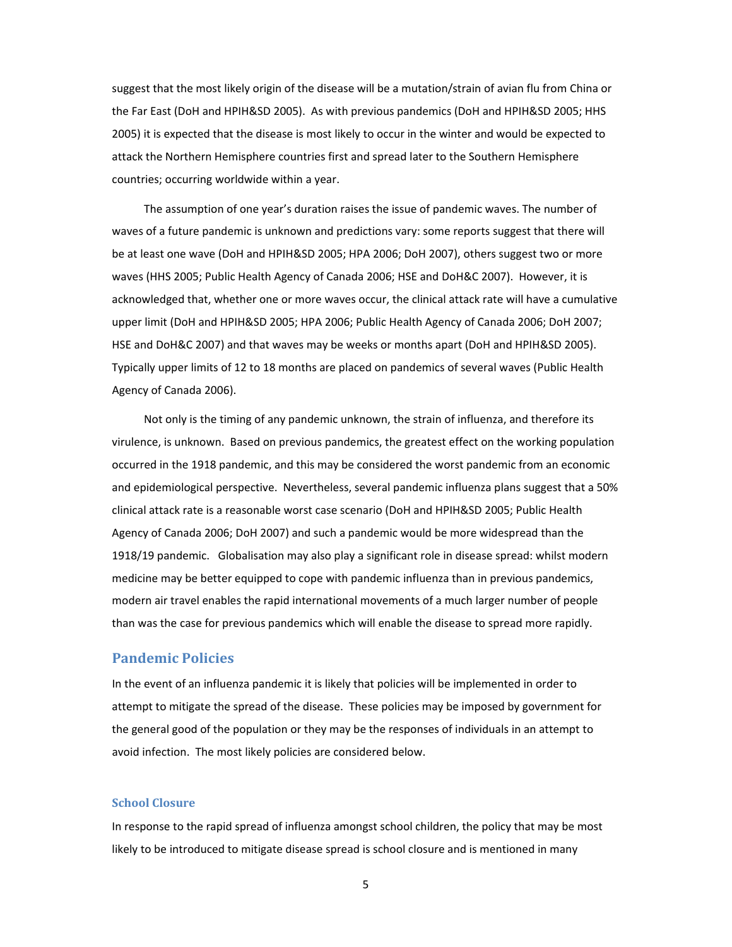suggest that the most likely origin of the disease will be a mutation/strain of avian flu from China or the Far East (DoH and HPIH&SD 2005). As with previous pandemics (DoH and HPIH&SD 2005; HHS 2005) it is expected that the disease is most likely to occur in the winter and would be expected to attack the Northern Hemisphere countries first and spread later to the Southern Hemisphere countries; occurring worldwide within a year.

The assumption of one year's duration raises the issue of pandemic waves. The number of waves of a future pandemic is unknown and predictions vary: some reports suggest that there will be at least one wave (DoH and HPIH&SD 2005; HPA 2006; DoH 2007), others suggest two or more waves (HHS 2005; Public Health Agency of Canada 2006; HSE and DoH&C 2007). However, it is acknowledged that, whether one or more waves occur, the clinical attack rate will have a cumulative upper limit (DoH and HPIH&SD 2005; HPA 2006; Public Health Agency of Canada 2006; DoH 2007; HSE and DoH&C 2007) and that waves may be weeks or months apart (DoH and HPIH&SD 2005). Typically upper limits of 12 to 18 months are placed on pandemics of several waves (Public Health Agency of Canada 2006).

Not only is the timing of any pandemic unknown, the strain of influenza, and therefore its virulence, is unknown. Based on previous pandemics, the greatest effect on the working population occurred in the 1918 pandemic, and this may be considered the worst pandemic from an economic and epidemiological perspective. Nevertheless, several pandemic influenza plans suggest that a 50% clinical attack rate is a reasonable worst case scenario (DoH and HPIH&SD 2005; Public Health Agency of Canada 2006; DoH 2007) and such a pandemic would be more widespread than the 1918/19 pandemic. Globalisation may also play a significant role in disease spread: whilst modern medicine may be better equipped to cope with pandemic influenza than in previous pandemics, modern air travel enables the rapid international movements of a much larger number of people than was the case for previous pandemics which will enable the disease to spread more rapidly.

#### **Pandemic Policies**

In the event of an influenza pandemic it is likely that policies will be implemented in order to attempt to mitigate the spread of the disease. These policies may be imposed by government for the general good of the population or they may be the responses of individuals in an attempt to avoid infection. The most likely policies are considered below.

#### **School Closure**

In response to the rapid spread of influenza amongst school children, the policy that may be most likely to be introduced to mitigate disease spread is school closure and is mentioned in many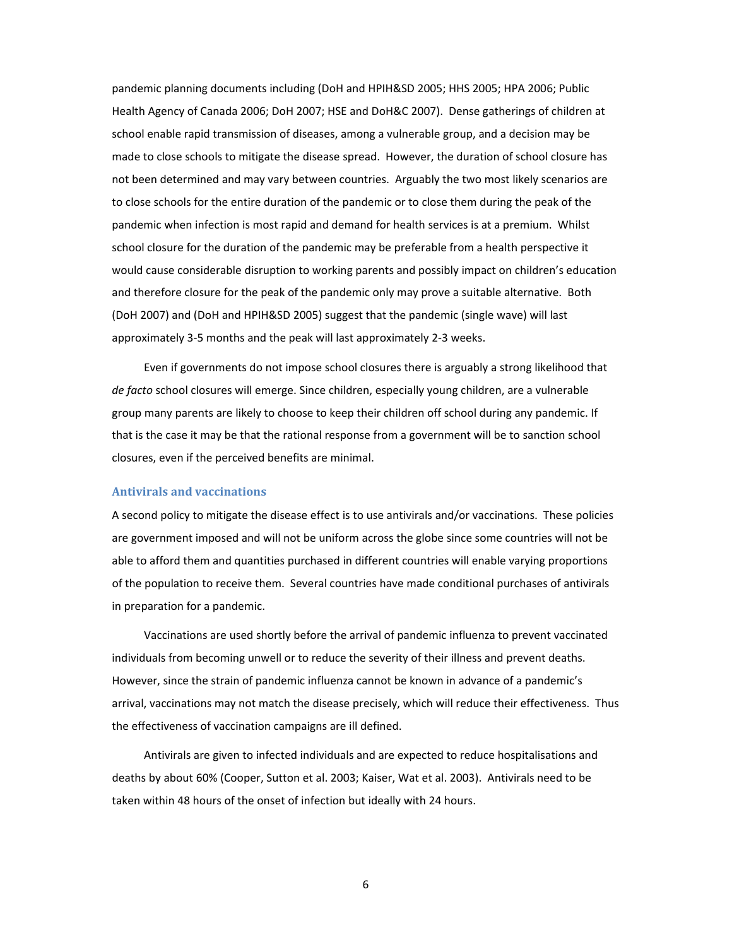pandemic planning documents including (DoH and HPIH&SD 2005; HHS 2005; HPA 2006; Public Health Agency of Canada 2006; DoH 2007; HSE and DoH&C 2007). Dense gatherings of children at school enable rapid transmission of diseases, among a vulnerable group, and a decision may be made to close schools to mitigate the disease spread. However, the duration of school closure has not been determined and may vary between countries. Arguably the two most likely scenarios are to close schools for the entire duration of the pandemic or to close them during the peak of the pandemic when infection is most rapid and demand for health services is at a premium. Whilst school closure for the duration of the pandemic may be preferable from a health perspective it would cause considerable disruption to working parents and possibly impact on children's education and therefore closure for the peak of the pandemic only may prove a suitable alternative. Both (DoH 2007) and (DoH and HPIH&SD 2005) suggest that the pandemic (single wave) will last approximately 3‐5 months and the peak will last approximately 2‐3 weeks.

Even if governments do not impose school closures there is arguably a strong likelihood that *de facto* school closures will emerge. Since children, especially young children, are a vulnerable group many parents are likely to choose to keep their children off school during any pandemic. If that is the case it may be that the rational response from a government will be to sanction school closures, even if the perceived benefits are minimal.

#### **Antivirals and vaccinations**

A second policy to mitigate the disease effect is to use antivirals and/or vaccinations. These policies are government imposed and will not be uniform across the globe since some countries will not be able to afford them and quantities purchased in different countries will enable varying proportions of the population to receive them. Several countries have made conditional purchases of antivirals in preparation for a pandemic.

Vaccinations are used shortly before the arrival of pandemic influenza to prevent vaccinated individuals from becoming unwell or to reduce the severity of their illness and prevent deaths. However, since the strain of pandemic influenza cannot be known in advance of a pandemic's arrival, vaccinations may not match the disease precisely, which will reduce their effectiveness. Thus the effectiveness of vaccination campaigns are ill defined.

Antivirals are given to infected individuals and are expected to reduce hospitalisations and deaths by about 60% (Cooper, Sutton et al. 2003; Kaiser, Wat et al. 2003). Antivirals need to be taken within 48 hours of the onset of infection but ideally with 24 hours.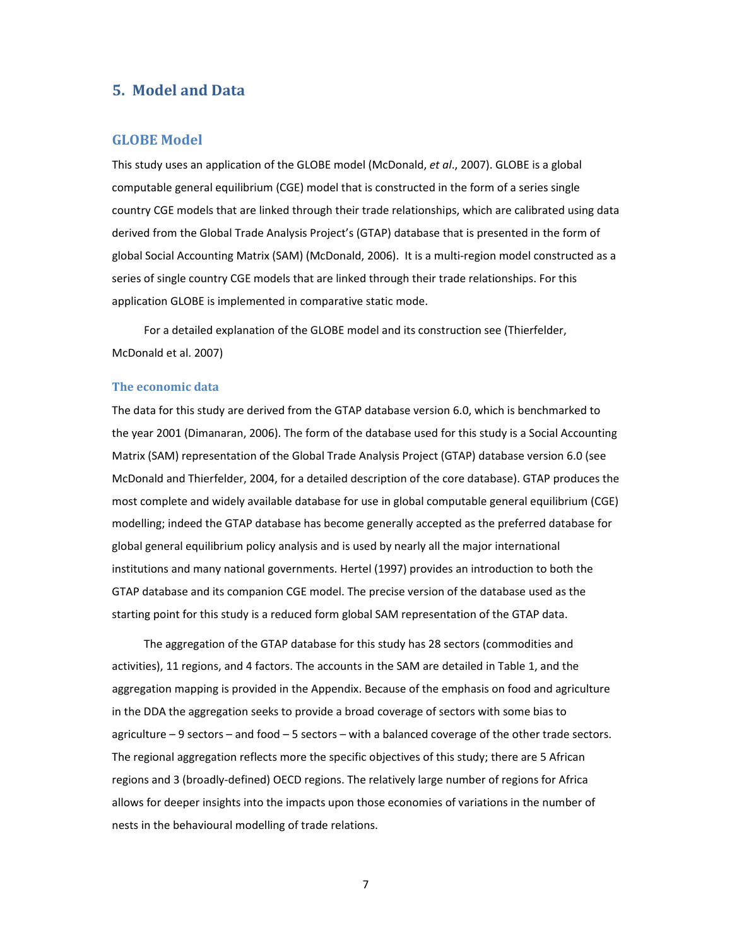### **5. Model and Data**

#### **GLOBE Model**

This study uses an application of the GLOBE model (McDonald, *et al*., 2007). GLOBE is a global computable general equilibrium (CGE) model that is constructed in the form of a series single country CGE models that are linked through their trade relationships, which are calibrated using data derived from the Global Trade Analysis Project's (GTAP) database that is presented in the form of global Social Accounting Matrix (SAM) (McDonald, 2006). It is a multi‐region model constructed as a series of single country CGE models that are linked through their trade relationships. For this application GLOBE is implemented in comparative static mode.

For a detailed explanation of the GLOBE model and its construction see (Thierfelder, McDonald et al. 2007)

#### **The economic data**

The data for this study are derived from the GTAP database version 6.0, which is benchmarked to the year 2001 (Dimanaran, 2006). The form of the database used for this study is a Social Accounting Matrix (SAM) representation of the Global Trade Analysis Project (GTAP) database version 6.0 (see McDonald and Thierfelder, 2004, for a detailed description of the core database). GTAP produces the most complete and widely available database for use in global computable general equilibrium (CGE) modelling; indeed the GTAP database has become generally accepted as the preferred database for global general equilibrium policy analysis and is used by nearly all the major international institutions and many national governments. Hertel (1997) provides an introduction to both the GTAP database and its companion CGE model. The precise version of the database used as the starting point for this study is a reduced form global SAM representation of the GTAP data.

The aggregation of the GTAP database for this study has 28 sectors (commodities and activities), 11 regions, and 4 factors. The accounts in the SAM are detailed in Table 1, and the aggregation mapping is provided in the Appendix. Because of the emphasis on food and agriculture in the DDA the aggregation seeks to provide a broad coverage of sectors with some bias to agriculture – 9 sectors – and food – 5 sectors – with a balanced coverage of the other trade sectors. The regional aggregation reflects more the specific objectives of this study; there are 5 African regions and 3 (broadly‐defined) OECD regions. The relatively large number of regions for Africa allows for deeper insights into the impacts upon those economies of variations in the number of nests in the behavioural modelling of trade relations.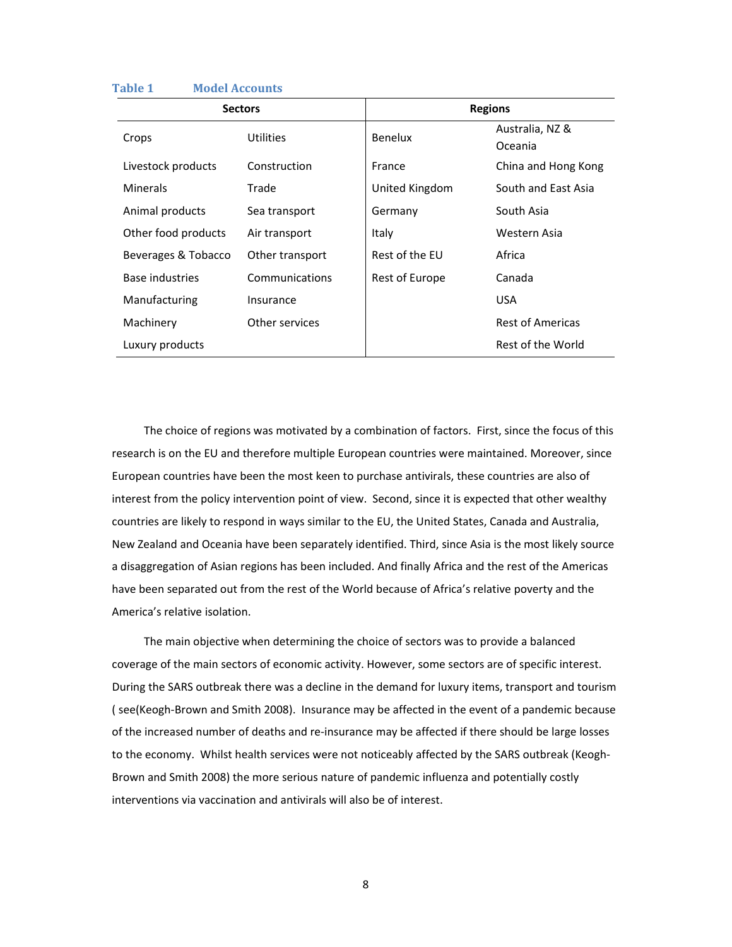#### **Table 1 Model Accounts**

| <b>Sectors</b>      |                 | <b>Regions</b> |                         |  |
|---------------------|-----------------|----------------|-------------------------|--|
| Crops               | Utilities       | Benelux        | Australia, NZ &         |  |
|                     |                 |                | Oceania                 |  |
| Livestock products  | Construction    | France         | China and Hong Kong     |  |
| Minerals            | Trade           | United Kingdom | South and Fast Asia     |  |
| Animal products     | Sea transport   | Germany        | South Asia              |  |
| Other food products | Air transport   | Italy          | Western Asia            |  |
| Beverages & Tobacco | Other transport | Rest of the EU | Africa                  |  |
| Base industries     | Communications  | Rest of Europe | Canada                  |  |
| Manufacturing       | Insurance       |                | <b>USA</b>              |  |
| Machinery           | Other services  |                | <b>Rest of Americas</b> |  |
| Luxury products     |                 |                | Rest of the World       |  |

The choice of regions was motivated by a combination of factors. First, since the focus of this research is on the EU and therefore multiple European countries were maintained. Moreover, since European countries have been the most keen to purchase antivirals, these countries are also of interest from the policy intervention point of view. Second, since it is expected that other wealthy countries are likely to respond in ways similar to the EU, the United States, Canada and Australia, New Zealand and Oceania have been separately identified. Third, since Asia is the most likely source a disaggregation of Asian regions has been included. And finally Africa and the rest of the Americas have been separated out from the rest of the World because of Africa's relative poverty and the America's relative isolation.

The main objective when determining the choice of sectors was to provide a balanced coverage of the main sectors of economic activity. However, some sectors are of specific interest. During the SARS outbreak there was a decline in the demand for luxury items, transport and tourism ( see(Keogh‐Brown and Smith 2008). Insurance may be affected in the event of a pandemic because of the increased number of deaths and re‐insurance may be affected if there should be large losses to the economy. Whilst health services were not noticeably affected by the SARS outbreak (Keogh‐ Brown and Smith 2008) the more serious nature of pandemic influenza and potentially costly interventions via vaccination and antivirals will also be of interest.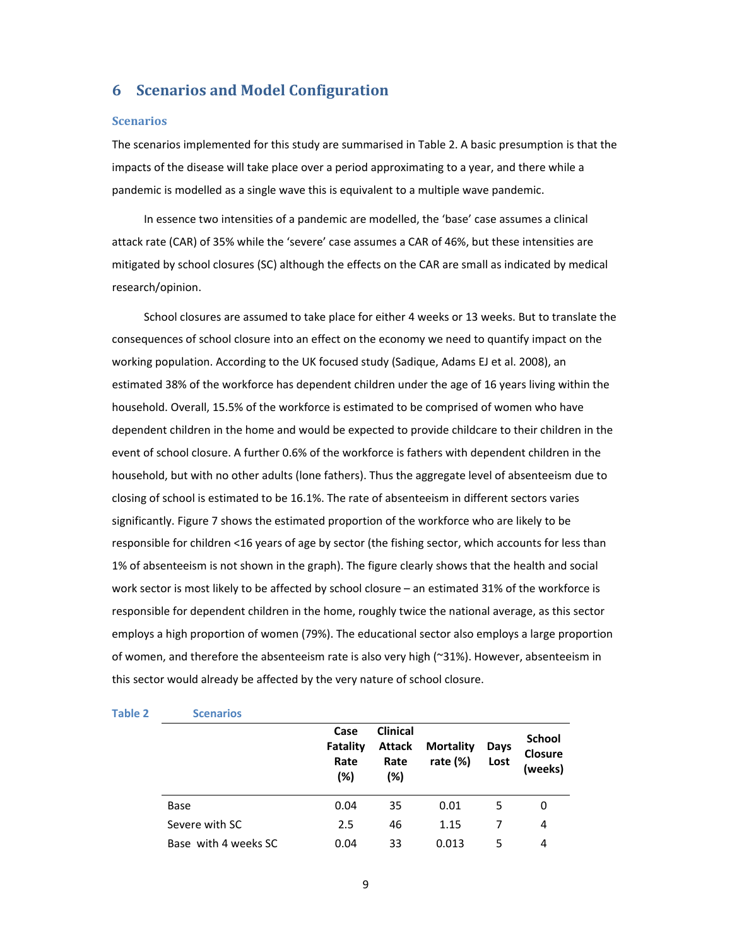### **6 Scenarios and Model Configuration**

#### **Scenarios**

The scenarios implemented for this study are summarised in Table 2. A basic presumption is that the impacts of the disease will take place over a period approximating to a year, and there while a pandemic is modelled as a single wave this is equivalent to a multiple wave pandemic.

In essence two intensities of a pandemic are modelled, the 'base' case assumes a clinical attack rate (CAR) of 35% while the 'severe' case assumes a CAR of 46%, but these intensities are mitigated by school closures (SC) although the effects on the CAR are small as indicated by medical research/opinion.

School closures are assumed to take place for either 4 weeks or 13 weeks. But to translate the consequences of school closure into an effect on the economy we need to quantify impact on the working population. According to the UK focused study (Sadique, Adams EJ et al. 2008), an estimated 38% of the workforce has dependent children under the age of 16 years living within the household. Overall, 15.5% of the workforce is estimated to be comprised of women who have dependent children in the home and would be expected to provide childcare to their children in the event of school closure. A further 0.6% of the workforce is fathers with dependent children in the household, but with no other adults (lone fathers). Thus the aggregate level of absenteeism due to closing of school is estimated to be 16.1%. The rate of absenteeism in different sectors varies significantly. Figure 7 shows the estimated proportion of the workforce who are likely to be responsible for children <16 years of age by sector (the fishing sector, which accounts for less than 1% of absenteeism is not shown in the graph). The figure clearly shows that the health and social work sector is most likely to be affected by school closure – an estimated 31% of the workforce is responsible for dependent children in the home, roughly twice the national average, as this sector employs a high proportion of women (79%). The educational sector also employs a large proportion of women, and therefore the absenteeism rate is also very high (~31%). However, absenteeism in this sector would already be affected by the very nature of school closure.

| <b>Table 2</b> | <b>Scenarios</b>     |                                 |                                                    |                                                 |   |                                            |  |
|----------------|----------------------|---------------------------------|----------------------------------------------------|-------------------------------------------------|---|--------------------------------------------|--|
|                |                      | Case<br>Fatality<br>Rate<br>(%) | <b>Clinical</b><br><b>Attack</b><br>Rate<br>$(\%)$ | <b>Mortality</b><br>Days<br>rate $(\%)$<br>Lost |   | <b>School</b><br><b>Closure</b><br>(weeks) |  |
|                | Base                 | 0.04                            | 35                                                 | 0.01                                            | 5 | 0                                          |  |
|                | Severe with SC       | 2.5                             | 46                                                 | 1.15                                            | 7 | 4                                          |  |
|                | Base with 4 weeks SC | 0.04                            | 33                                                 | 0.013                                           | 5 | 4                                          |  |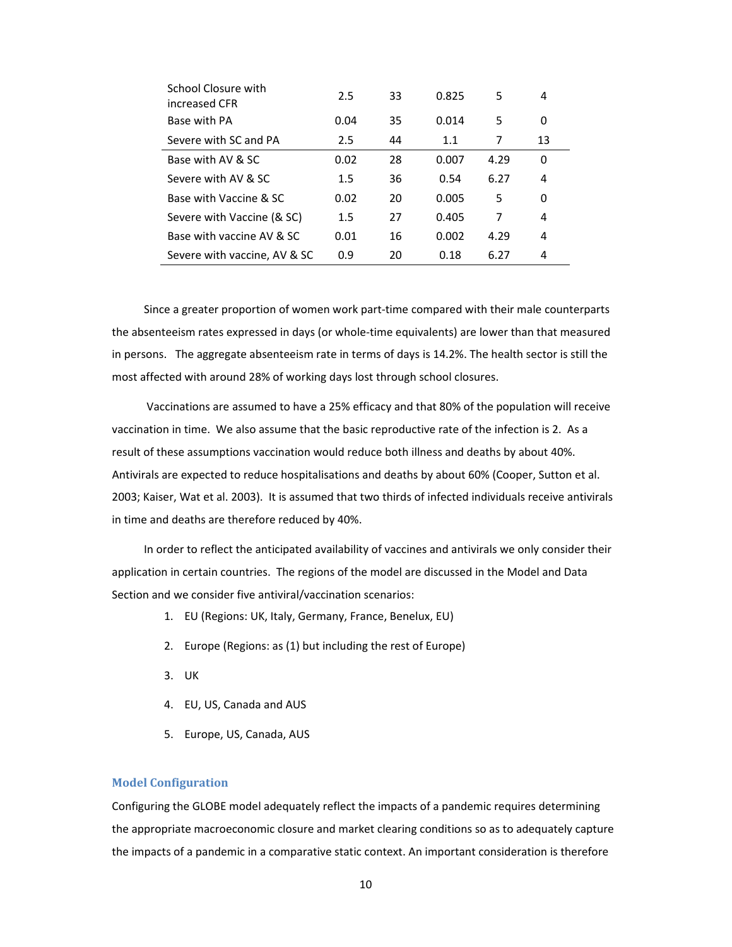| School Closure with<br>increased CFR | 2.5     | 33 | 0.825 | 5    | 4  |
|--------------------------------------|---------|----|-------|------|----|
| Base with PA                         | 0.04    | 35 | 0.014 | 5    | 0  |
| Severe with SC and PA                | 2.5     | 44 | 1.1   | 7    | 13 |
| Base with AV & SC                    | 0.02    | 28 | 0.007 | 4.29 | 0  |
| Severe with AV & SC                  | $1.5\,$ | 36 | 0.54  | 6.27 | 4  |
| Base with Vaccine & SC               | 0.02    | 20 | 0.005 | 5    | 0  |
| Severe with Vaccine (& SC)           | $1.5\,$ | 27 | 0.405 | 7    | 4  |
| Base with vaccine AV & SC            | 0.01    | 16 | 0.002 | 4.29 | 4  |
| Severe with vaccine, AV & SC         | 0.9     | 20 | 0.18  | 6.27 | 4  |

Since a greater proportion of women work part‐time compared with their male counterparts the absenteeism rates expressed in days (or whole‐time equivalents) are lower than that measured in persons. The aggregate absenteeism rate in terms of days is 14.2%. The health sector is still the most affected with around 28% of working days lost through school closures.

Vaccinations are assumed to have a 25% efficacy and that 80% of the population will receive vaccination in time. We also assume that the basic reproductive rate of the infection is 2. As a result of these assumptions vaccination would reduce both illness and deaths by about 40%. Antivirals are expected to reduce hospitalisations and deaths by about 60% (Cooper, Sutton et al. 2003; Kaiser, Wat et al. 2003). It is assumed that two thirds of infected individuals receive antivirals in time and deaths are therefore reduced by 40%.

In order to reflect the anticipated availability of vaccines and antivirals we only consider their application in certain countries. The regions of the model are discussed in the Model and Data Section and we consider five antiviral/vaccination scenarios:

- 1. EU (Regions: UK, Italy, Germany, France, Benelux, EU)
- 2. Europe (Regions: as (1) but including the rest of Europe)
- 3. UK
- 4. EU, US, Canada and AUS
- 5. Europe, US, Canada, AUS

#### **Model Configuration**

Configuring the GLOBE model adequately reflect the impacts of a pandemic requires determining the appropriate macroeconomic closure and market clearing conditions so as to adequately capture the impacts of a pandemic in a comparative static context. An important consideration is therefore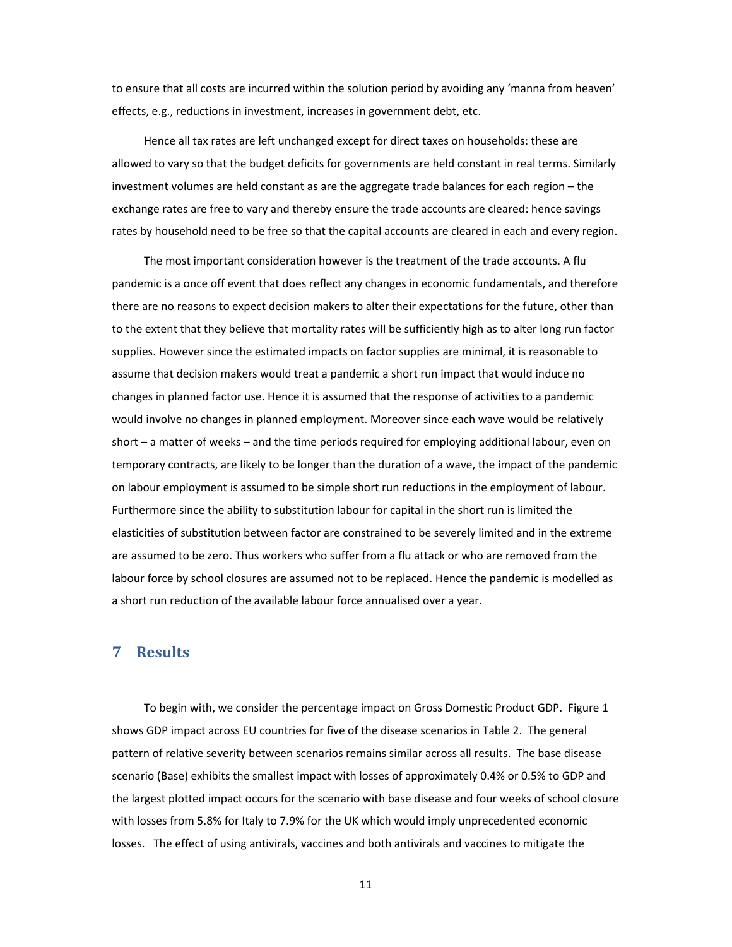to ensure that all costs are incurred within the solution period by avoiding any 'manna from heaven' effects, e.g., reductions in investment, increases in government debt, etc.

Hence all tax rates are left unchanged except for direct taxes on households: these are allowed to vary so that the budget deficits for governments are held constant in real terms. Similarly investment volumes are held constant as are the aggregate trade balances for each region – the exchange rates are free to vary and thereby ensure the trade accounts are cleared: hence savings rates by household need to be free so that the capital accounts are cleared in each and every region.

The most important consideration however is the treatment of the trade accounts. A flu pandemic is a once off event that does reflect any changes in economic fundamentals, and therefore there are no reasons to expect decision makers to alter their expectations for the future, other than to the extent that they believe that mortality rates will be sufficiently high as to alter long run factor supplies. However since the estimated impacts on factor supplies are minimal, it is reasonable to assume that decision makers would treat a pandemic a short run impact that would induce no changes in planned factor use. Hence it is assumed that the response of activities to a pandemic would involve no changes in planned employment. Moreover since each wave would be relatively short – a matter of weeks – and the time periods required for employing additional labour, even on temporary contracts, are likely to be longer than the duration of a wave, the impact of the pandemic on labour employment is assumed to be simple short run reductions in the employment of labour. Furthermore since the ability to substitution labour for capital in the short run is limited the elasticities of substitution between factor are constrained to be severely limited and in the extreme are assumed to be zero. Thus workers who suffer from a flu attack or who are removed from the labour force by school closures are assumed not to be replaced. Hence the pandemic is modelled as a short run reduction of the available labour force annualised over a year.

### **7 Results**

To begin with, we consider the percentage impact on Gross Domestic Product GDP. Figure 1 shows GDP impact across EU countries for five of the disease scenarios in Table 2. The general pattern of relative severity between scenarios remains similar across all results. The base disease scenario (Base) exhibits the smallest impact with losses of approximately 0.4% or 0.5% to GDP and the largest plotted impact occurs for the scenario with base disease and four weeks of school closure with losses from 5.8% for Italy to 7.9% for the UK which would imply unprecedented economic losses. The effect of using antivirals, vaccines and both antivirals and vaccines to mitigate the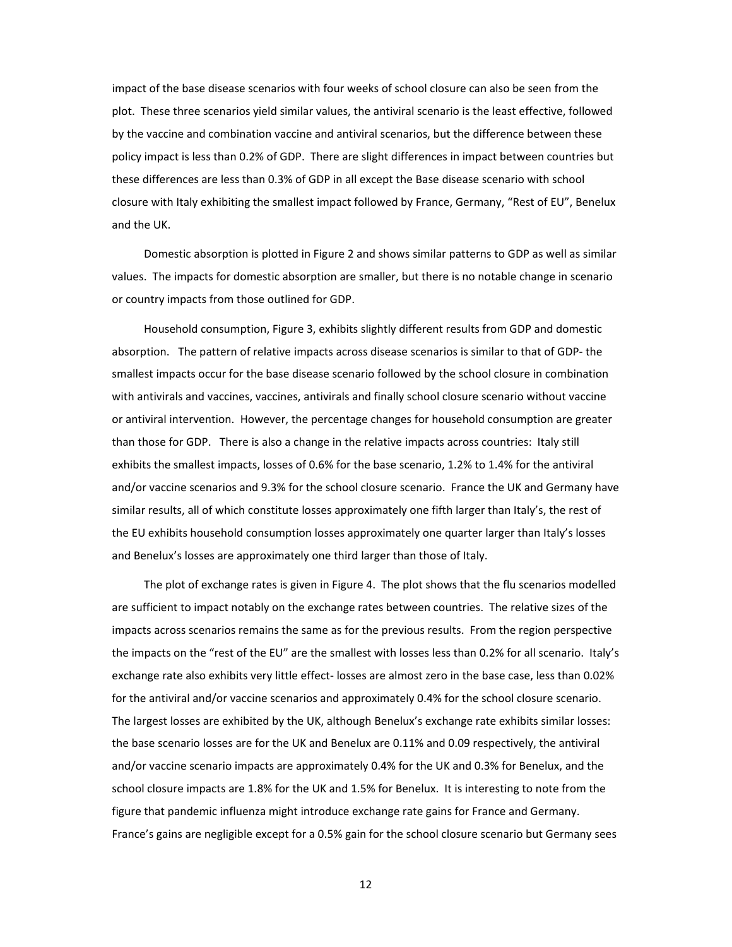impact of the base disease scenarios with four weeks of school closure can also be seen from the plot. These three scenarios yield similar values, the antiviral scenario is the least effective, followed by the vaccine and combination vaccine and antiviral scenarios, but the difference between these policy impact is less than 0.2% of GDP. There are slight differences in impact between countries but these differences are less than 0.3% of GDP in all except the Base disease scenario with school closure with Italy exhibiting the smallest impact followed by France, Germany, "Rest of EU", Benelux and the UK.

Domestic absorption is plotted in Figure 2 and shows similar patterns to GDP as well as similar values. The impacts for domestic absorption are smaller, but there is no notable change in scenario or country impacts from those outlined for GDP.

Household consumption, Figure 3, exhibits slightly different results from GDP and domestic absorption. The pattern of relative impacts across disease scenarios is similar to that of GDP‐ the smallest impacts occur for the base disease scenario followed by the school closure in combination with antivirals and vaccines, vaccines, antivirals and finally school closure scenario without vaccine or antiviral intervention. However, the percentage changes for household consumption are greater than those for GDP. There is also a change in the relative impacts across countries: Italy still exhibits the smallest impacts, losses of 0.6% for the base scenario, 1.2% to 1.4% for the antiviral and/or vaccine scenarios and 9.3% for the school closure scenario. France the UK and Germany have similar results, all of which constitute losses approximately one fifth larger than Italy's, the rest of the EU exhibits household consumption losses approximately one quarter larger than Italy's losses and Benelux's losses are approximately one third larger than those of Italy.

The plot of exchange rates is given in Figure 4. The plot shows that the flu scenarios modelled are sufficient to impact notably on the exchange rates between countries. The relative sizes of the impacts across scenarios remains the same as for the previous results. From the region perspective the impacts on the "rest of the EU" are the smallest with losses less than 0.2% for all scenario. Italy's exchange rate also exhibits very little effect‐ losses are almost zero in the base case, less than 0.02% for the antiviral and/or vaccine scenarios and approximately 0.4% for the school closure scenario. The largest losses are exhibited by the UK, although Benelux's exchange rate exhibits similar losses: the base scenario losses are for the UK and Benelux are 0.11% and 0.09 respectively, the antiviral and/or vaccine scenario impacts are approximately 0.4% for the UK and 0.3% for Benelux, and the school closure impacts are 1.8% for the UK and 1.5% for Benelux. It is interesting to note from the figure that pandemic influenza might introduce exchange rate gains for France and Germany. France's gains are negligible except for a 0.5% gain for the school closure scenario but Germany sees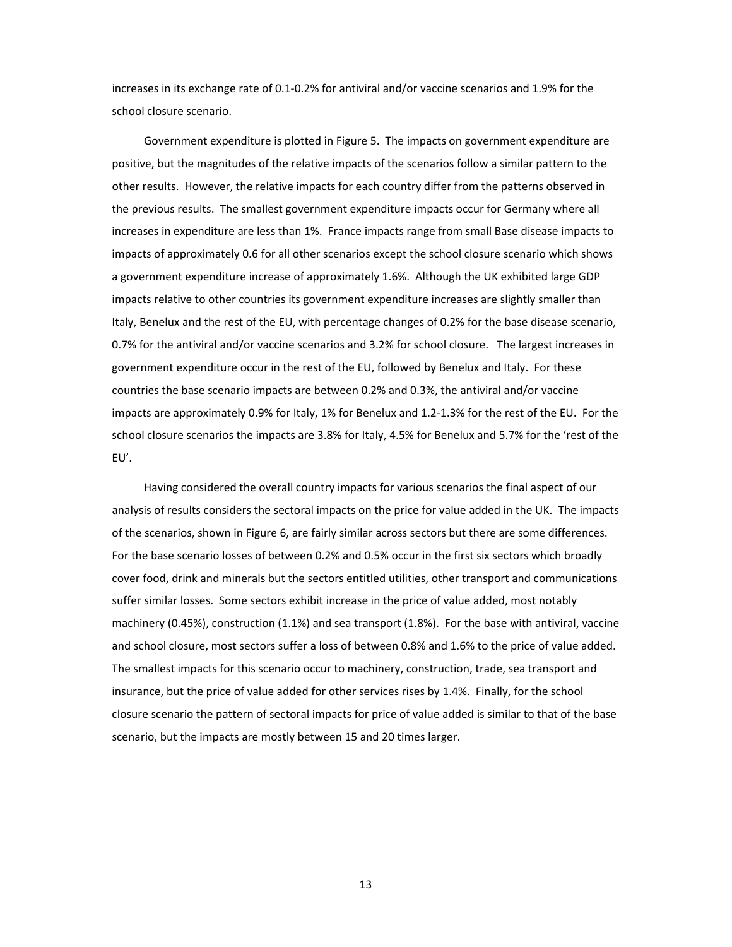increases in its exchange rate of 0.1‐0.2% for antiviral and/or vaccine scenarios and 1.9% for the school closure scenario.

Government expenditure is plotted in Figure 5. The impacts on government expenditure are positive, but the magnitudes of the relative impacts of the scenarios follow a similar pattern to the other results. However, the relative impacts for each country differ from the patterns observed in the previous results. The smallest government expenditure impacts occur for Germany where all increases in expenditure are less than 1%. France impacts range from small Base disease impacts to impacts of approximately 0.6 for all other scenarios except the school closure scenario which shows a government expenditure increase of approximately 1.6%. Although the UK exhibited large GDP impacts relative to other countries its government expenditure increases are slightly smaller than Italy, Benelux and the rest of the EU, with percentage changes of 0.2% for the base disease scenario, 0.7% for the antiviral and/or vaccine scenarios and 3.2% for school closure. The largest increases in government expenditure occur in the rest of the EU, followed by Benelux and Italy. For these countries the base scenario impacts are between 0.2% and 0.3%, the antiviral and/or vaccine impacts are approximately 0.9% for Italy, 1% for Benelux and 1.2‐1.3% for the rest of the EU. For the school closure scenarios the impacts are 3.8% for Italy, 4.5% for Benelux and 5.7% for the 'rest of the EU'.

Having considered the overall country impacts for various scenarios the final aspect of our analysis of results considers the sectoral impacts on the price for value added in the UK. The impacts of the scenarios, shown in Figure 6, are fairly similar across sectors but there are some differences. For the base scenario losses of between 0.2% and 0.5% occur in the first six sectors which broadly cover food, drink and minerals but the sectors entitled utilities, other transport and communications suffer similar losses. Some sectors exhibit increase in the price of value added, most notably machinery (0.45%), construction (1.1%) and sea transport (1.8%). For the base with antiviral, vaccine and school closure, most sectors suffer a loss of between 0.8% and 1.6% to the price of value added. The smallest impacts for this scenario occur to machinery, construction, trade, sea transport and insurance, but the price of value added for other services rises by 1.4%. Finally, for the school closure scenario the pattern of sectoral impacts for price of value added is similar to that of the base scenario, but the impacts are mostly between 15 and 20 times larger.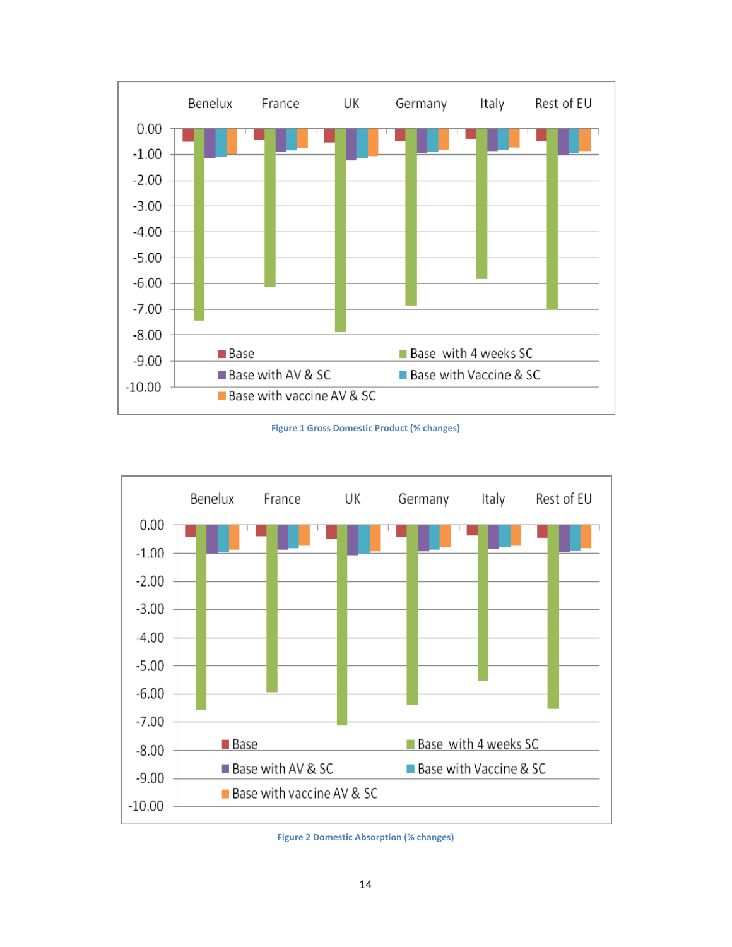

**Figure 1 Gross Domestic Product (% changes)**



**Figure 2 Domestic Absorption (% changes)**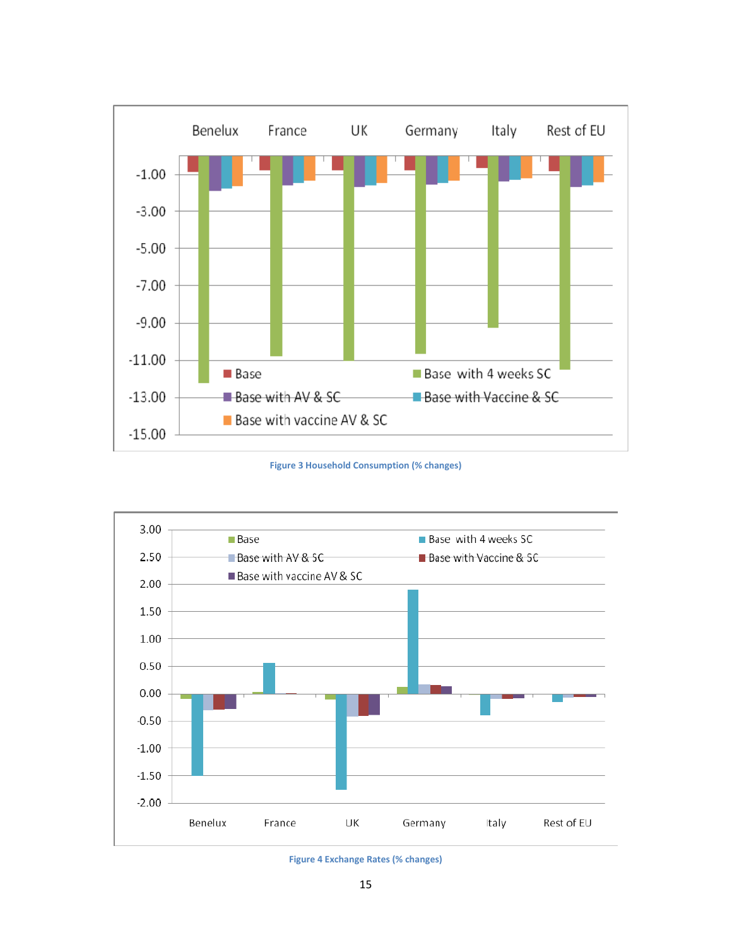

**Figure 3 Household Consumption (% changes)**



**Figure 4 Exchange Rates (% changes)**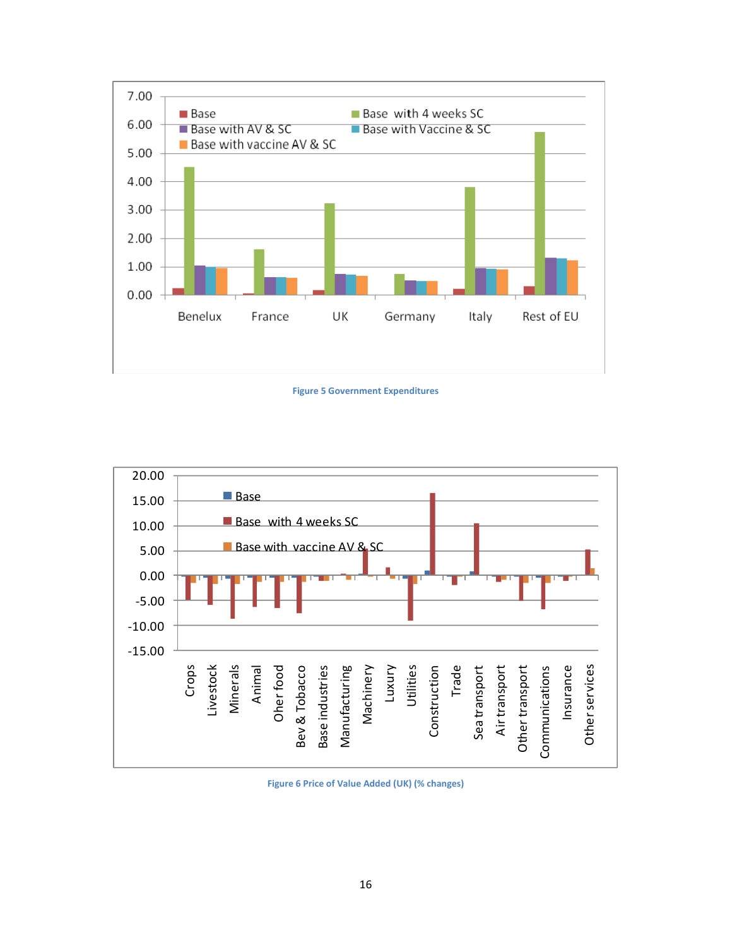





**Figure 6 Price of Value Added (UK) (% changes)**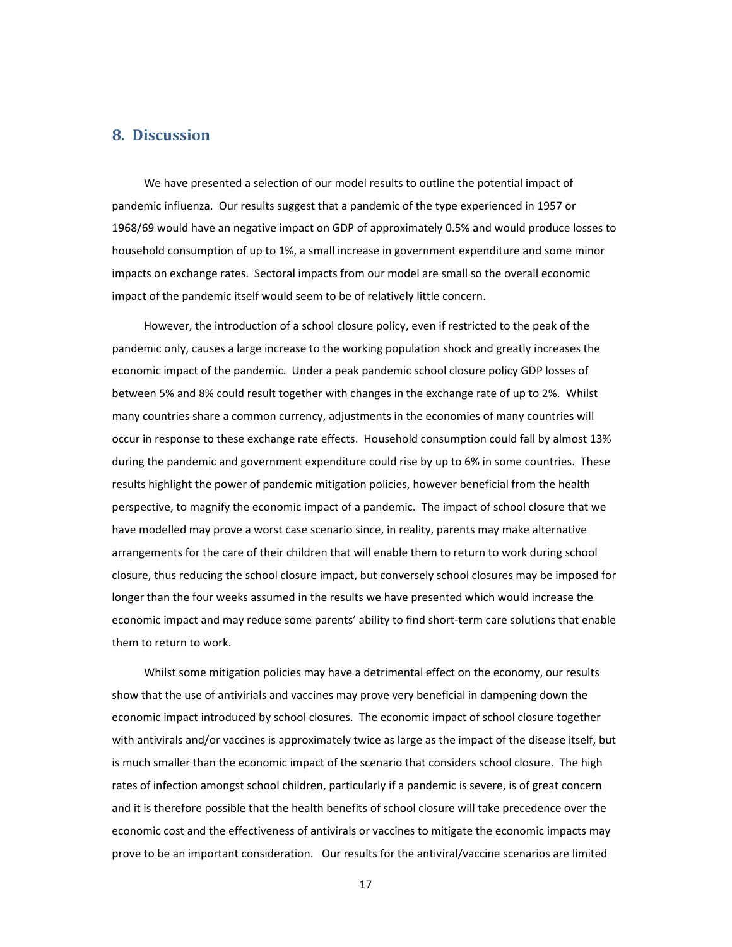### **8. Discussion**

We have presented a selection of our model results to outline the potential impact of pandemic influenza. Our results suggest that a pandemic of the type experienced in 1957 or 1968/69 would have an negative impact on GDP of approximately 0.5% and would produce losses to household consumption of up to 1%, a small increase in government expenditure and some minor impacts on exchange rates. Sectoral impacts from our model are small so the overall economic impact of the pandemic itself would seem to be of relatively little concern.

However, the introduction of a school closure policy, even if restricted to the peak of the pandemic only, causes a large increase to the working population shock and greatly increases the economic impact of the pandemic. Under a peak pandemic school closure policy GDP losses of between 5% and 8% could result together with changes in the exchange rate of up to 2%. Whilst many countries share a common currency, adjustments in the economies of many countries will occur in response to these exchange rate effects. Household consumption could fall by almost 13% during the pandemic and government expenditure could rise by up to 6% in some countries. These results highlight the power of pandemic mitigation policies, however beneficial from the health perspective, to magnify the economic impact of a pandemic. The impact of school closure that we have modelled may prove a worst case scenario since, in reality, parents may make alternative arrangements for the care of their children that will enable them to return to work during school closure, thus reducing the school closure impact, but conversely school closures may be imposed for longer than the four weeks assumed in the results we have presented which would increase the economic impact and may reduce some parents' ability to find short‐term care solutions that enable them to return to work.

Whilst some mitigation policies may have a detrimental effect on the economy, our results show that the use of antivirials and vaccines may prove very beneficial in dampening down the economic impact introduced by school closures. The economic impact of school closure together with antivirals and/or vaccines is approximately twice as large as the impact of the disease itself, but is much smaller than the economic impact of the scenario that considers school closure. The high rates of infection amongst school children, particularly if a pandemic is severe, is of great concern and it is therefore possible that the health benefits of school closure will take precedence over the economic cost and the effectiveness of antivirals or vaccines to mitigate the economic impacts may prove to be an important consideration. Our results for the antiviral/vaccine scenarios are limited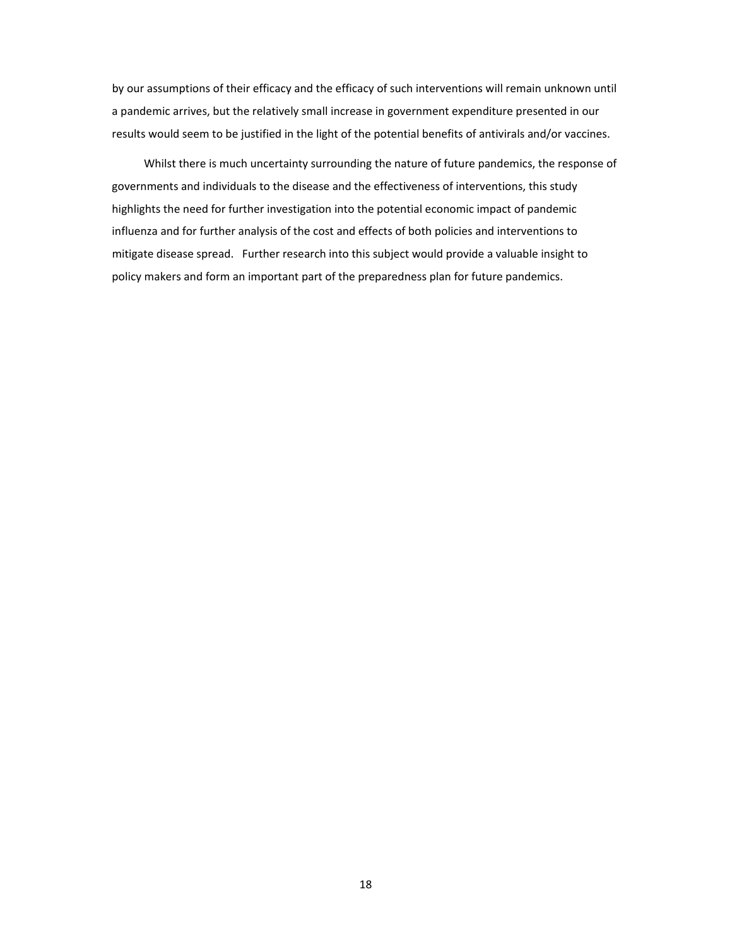by our assumptions of their efficacy and the efficacy of such interventions will remain unknown until a pandemic arrives, but the relatively small increase in government expenditure presented in our results would seem to be justified in the light of the potential benefits of antivirals and/or vaccines.

Whilst there is much uncertainty surrounding the nature of future pandemics, the response of governments and individuals to the disease and the effectiveness of interventions, this study highlights the need for further investigation into the potential economic impact of pandemic influenza and for further analysis of the cost and effects of both policies and interventions to mitigate disease spread. Further research into this subject would provide a valuable insight to policy makers and form an important part of the preparedness plan for future pandemics.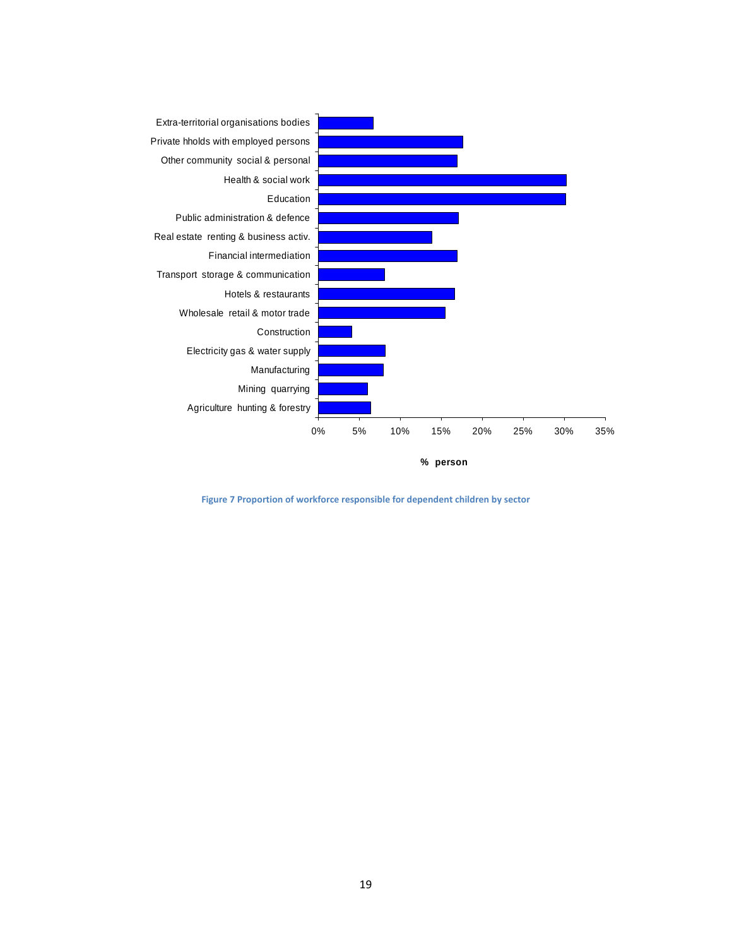

**Figure 7 Proportion of workforce responsible for dependent children by sector**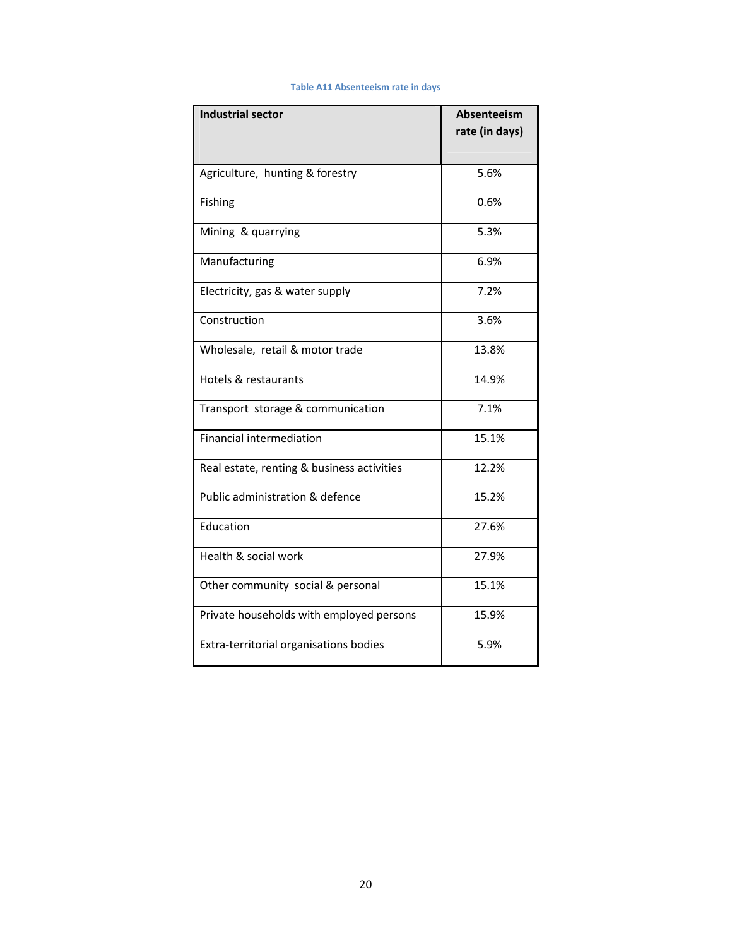#### **Table A11 Absenteeism rate in days**

| <b>Industrial sector</b>                   | Absenteeism    |  |  |
|--------------------------------------------|----------------|--|--|
|                                            | rate (in days) |  |  |
| Agriculture, hunting & forestry            | 5.6%           |  |  |
| Fishing                                    | 0.6%           |  |  |
| Mining & quarrying                         | 5.3%           |  |  |
| Manufacturing                              | 6.9%           |  |  |
| Electricity, gas & water supply            | 7.2%           |  |  |
| Construction                               | 3.6%           |  |  |
| Wholesale, retail & motor trade            | 13.8%          |  |  |
| Hotels & restaurants                       | 14.9%          |  |  |
| Transport storage & communication          | 7.1%           |  |  |
| <b>Financial intermediation</b>            | 15.1%          |  |  |
| Real estate, renting & business activities | 12.2%          |  |  |
| Public administration & defence            | 15.2%          |  |  |
| Education                                  | 27.6%          |  |  |
| Health & social work                       | 27.9%          |  |  |
| Other community social & personal          | 15.1%          |  |  |
| Private households with employed persons   | 15.9%          |  |  |
| Extra-territorial organisations bodies     | 5.9%           |  |  |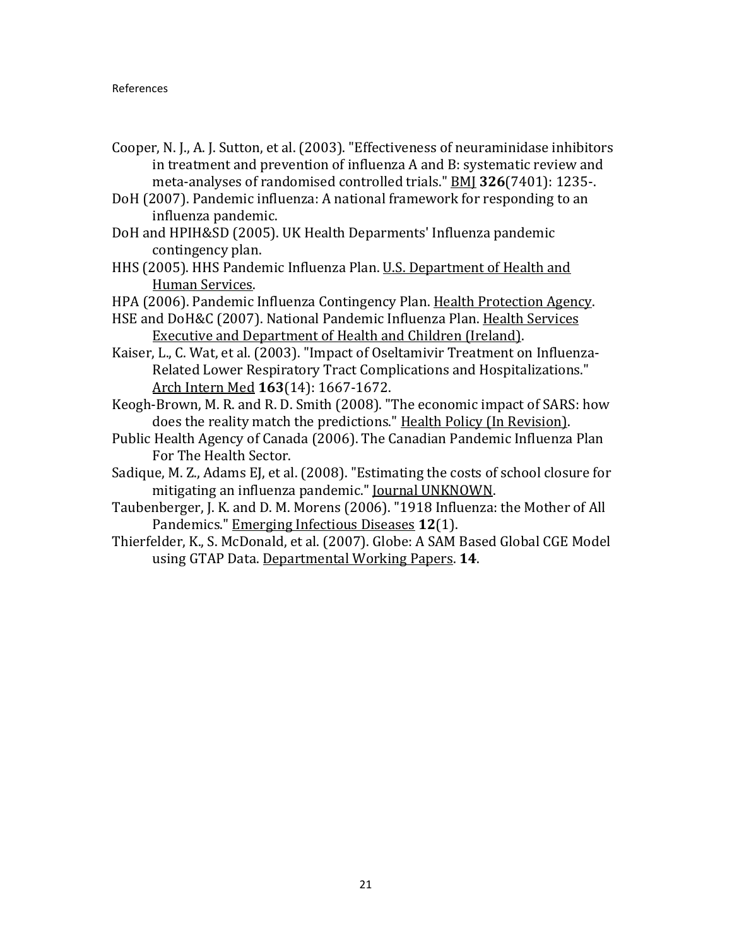- Cooper, N. J., A. J. Sutton, et al. (2003). "Effectiveness of neuraminidase inhibitors in treatment and prevention of influenza A and B: systematic review and meta‐analyses of randomised controlled trials." BMJ **326**(7401): 1235‐.
- DoH (2007). Pandemic influenza: A national framework for responding to an influenza pandemic.
- DoH and HPIH&SD (2005). UK Health Deparments' Influenza pandemic contingency plan.
- HHS (2005). HHS Pandemic Influenza Plan. U.S. Department of Health and Human Services.
- HPA (2006). Pandemic Influenza Contingency Plan. Health Protection Agency.
- HSE and DoH&C (2007). National Pandemic Influenza Plan. Health Services Executive and Department of Health and Children (Ireland).
- Kaiser, L., C. Wat, et al. (2003). "Impact of Oseltamivir Treatment on Influenza‐ Related Lower Respiratory Tract Complications and Hospitalizations." Arch Intern Med **163**(14): 1667‐1672.
- Keogh‐Brown, M. R. and R. D. Smith (2008). "The economic impact of SARS: how does the reality match the predictions." Health Policy (In Revision).
- Public Health Agency of Canada (2006). The Canadian Pandemic Influenza Plan For The Health Sector.
- Sadique, M. Z., Adams EJ, et al. (2008). "Estimating the costs of school closure for mitigating an influenza pandemic." Journal UNKNOWN.
- Taubenberger, J. K. and D. M. Morens (2006). "1918 Influenza: the Mother of All Pandemics." Emerging Infectious Diseases **12**(1).
- Thierfelder, K., S. McDonald, et al. (2007). Globe: A SAM Based Global CGE Model using GTAP Data. Departmental Working Papers. **14**.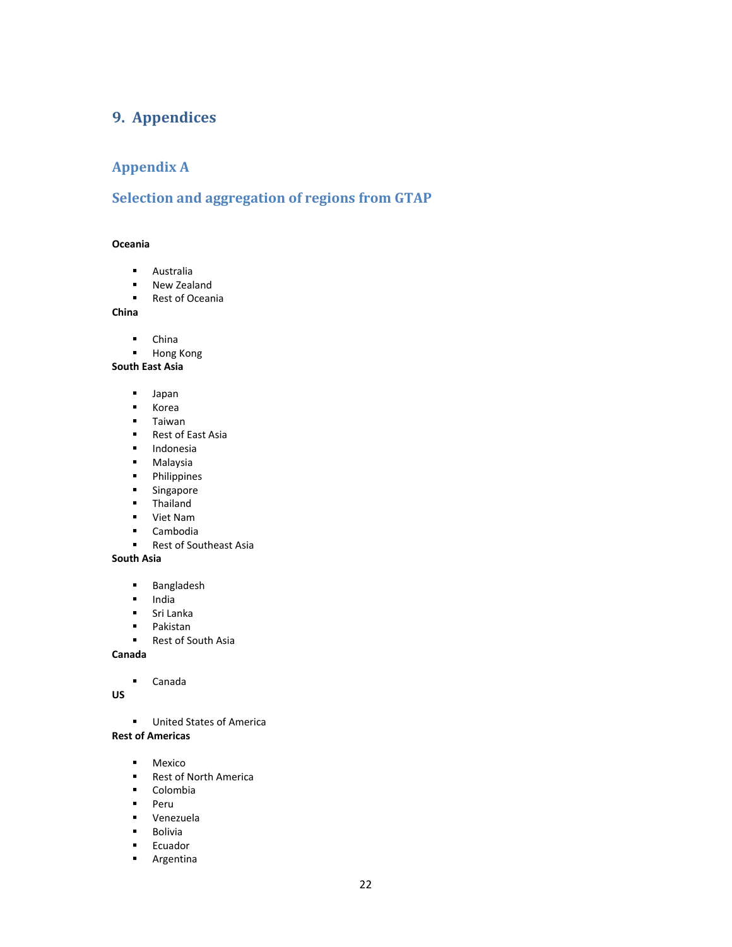### **9. Appendices**

### **Appendix A**

### **Selection and aggregation of regions from GTAP**

#### **Oceania**

- Australia
- **New Zealand**
- Rest of Oceania

**China**

- **•** China
- **Hong Kong**

### **South East Asia**

- Japan
- Korea
- **Taiwan**
- Rest of East Asia
- **Indonesia**
- 
- Malaysia<br>■ Philippine Philippines
- **Singapore**
- **Thailand**
- Viet Nam
- **Cambodia**
- Rest of Southeast Asia

#### **South Asia**

- **Bangladesh**
- **India**
- Sri Lanka<br>■ Pakistan
- Pakistan
- Rest of South Asia

**Canada**

Canada

**US**

**United States of America** 

#### **Rest of Americas**

- **Mexico**<br>**Rest of I**
- Rest of North America
- **Colombia**
- **Peru**
- Venezuela
- **Bolivia**
- **Ecuador**
- **Argentina**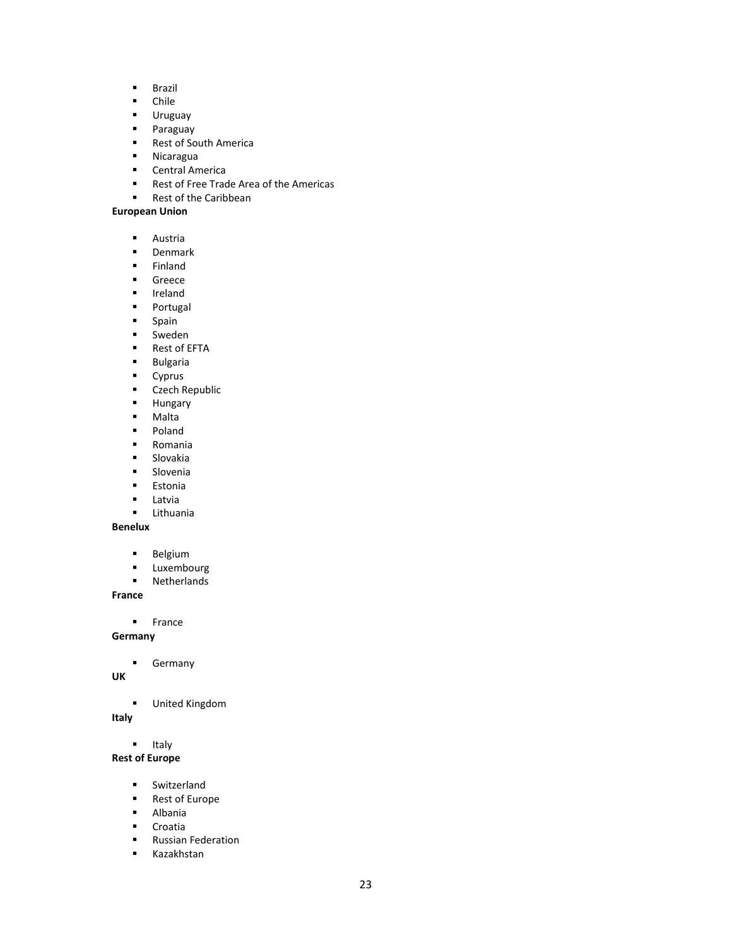- **Brazil**
- Chile
- **Uruguay**<br>**•** Paraguay
- Paraguay
- Rest of South America
- **Nicaragua**
- Central America<br>■ Rest of Free Trad
- Rest of Free Trade Area of the Americas
- Rest of the Caribbean

#### **European Union**

- Austria
- **Denmark**
- **Finland**<br>**Finland**
- **Greece**<br> **F** Ireland
- Ireland
- **Portugal**
- **Spain**<br>Swede
- Sweden<br>■ Rest of E
- Rest of EFTA
- **Bulgaria**<br>**Bulgaria**
- Cyprus
- **Czech Republic**
- **Hungary**
- Malta
- **Poland**
- Romania
- **Slovakia**<br>Slovenia
- Slovenia
- **Estonia**
- **Latvia**<br>Lithua
- Lithuania

#### **Benelux**

- **Belgium**
- **Luxembourg**
- **Netherlands**

**France**

**France** 

**Germany**

**Germany** 

**UK**

**United Kingdom** 

**Italy**

■ Italy

#### **Rest of Europe**

- **Switzerland**
- Rest of Europe<br>■ Albania
- Albania
- **Croatia**
- Russian Federation<br>■ Kazakhstan
- Kazakhstan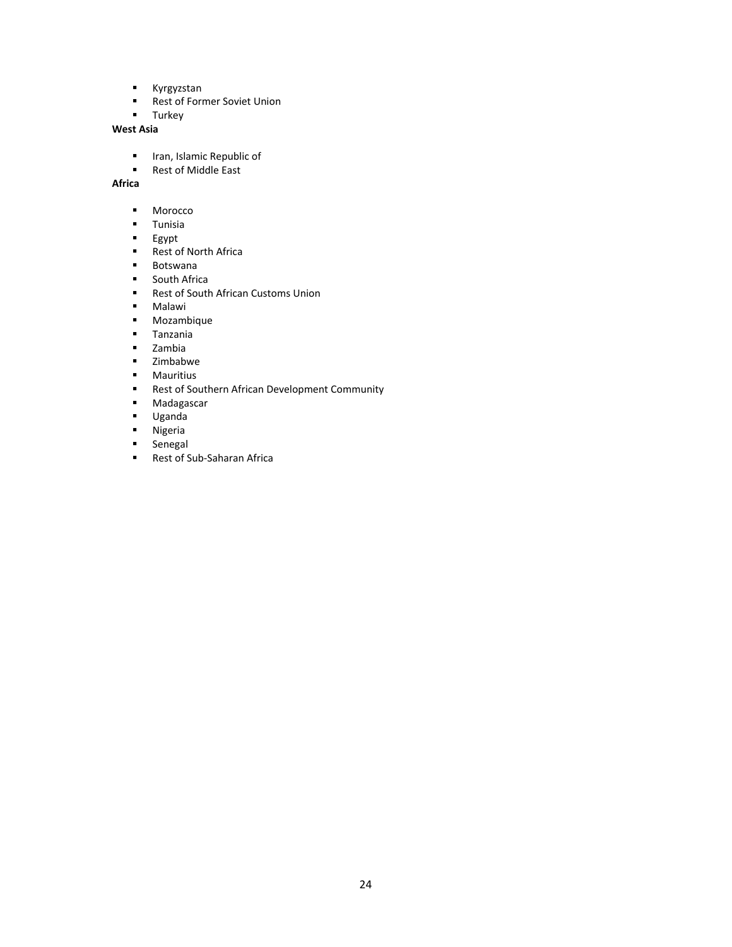- Kyrgyzstan
- Rest of Former Soviet Union
- **Turkey**

**West Asia**

- Iran, Islamic Republic of<br>Internal Rest of Middle Fast
- Rest of Middle East

**Africa**

- Morocco<br>■ Tunisia
- **Tunisia**<br>**Egypt**
- Egypt
- Rest of North Africa<br>■ Botswana
- Botswana<br>■ South Afri
- South Africa<br>■ Rest of South
- Rest of South African Customs Union<br>■ Malawi
- Malawi
- Mozambique
- **Tanzania**<br>**E** Zambia
- Zambia<br>■ Zimbaby
- Zimbabwe
- Mauritius<br>■ Rest of So
- Rest of Southern African Development Community
- **■** Madagascar
- Uganda
- **Nigeria**<br>**B** Senegal
- Senegal
- Rest of Sub-Saharan Africa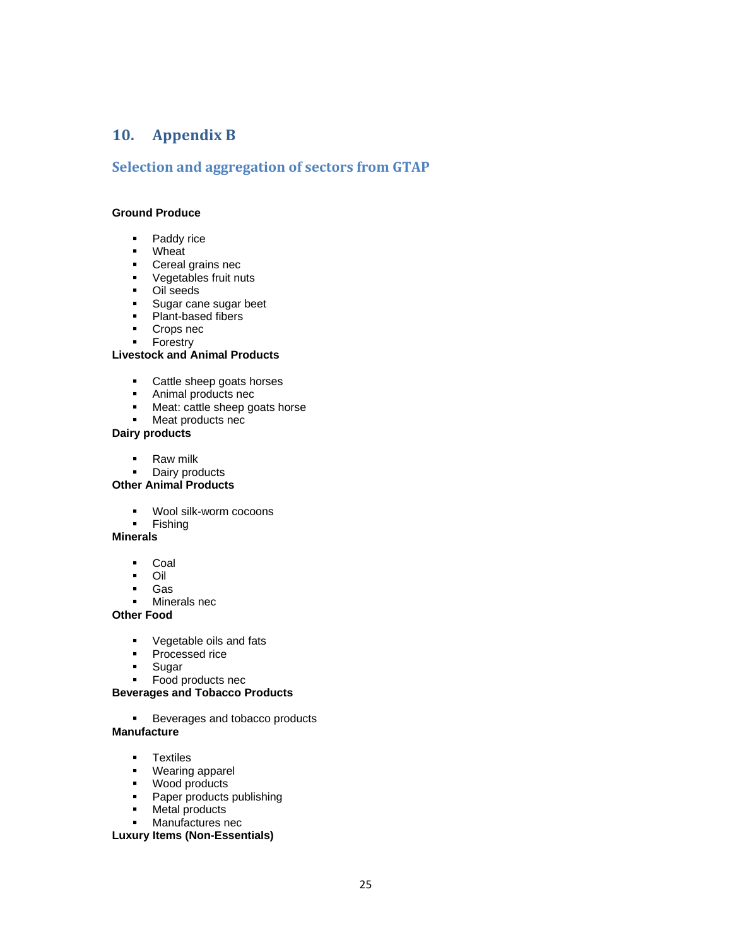## **10. Appendix B**

### **Selection and aggregation of sectors from GTAP**

#### **Ground Produce**

- Paddy rice
- **•** Wheat
- **Cereal grains nec**
- **vegetables fruit nuts**
- Oil seeds<br>Sugar car<br>Plant-base
- Sugar cane sugar beet
- Plant-based fibers
- Crops nec<br>■ Forestry
- **Forestry**

#### **Livestock and Animal Products**

- Cattle sheep goats horses
- **Animal products nec**
- **Meat: cattle sheep goats horse**
- **Meat products nec**

#### **Dairy products**

- **Raw milk**
- **Dairy products**

#### **Other Animal Products**

- Wool silk-worm cocoons
- **Fishing**

#### **Minerals**

- Coal
- Oil<br>■ Gas
- Gas
- **Minerals nec**

**Other Food** 

- **vegetable oils and fats**
- **Processed rice**
- **Sugar**
- Food products nec

#### **Beverages and Tobacco Products**

Beverages and tobacco products

**Manufacture** 

- 
- **Textiles**<br>**Yearing apparel Wearing apparel**
- **Wood products**
- Paper products publishing
- Metal products
- Manufactures nec

**Luxury Items (Non-Essentials)**